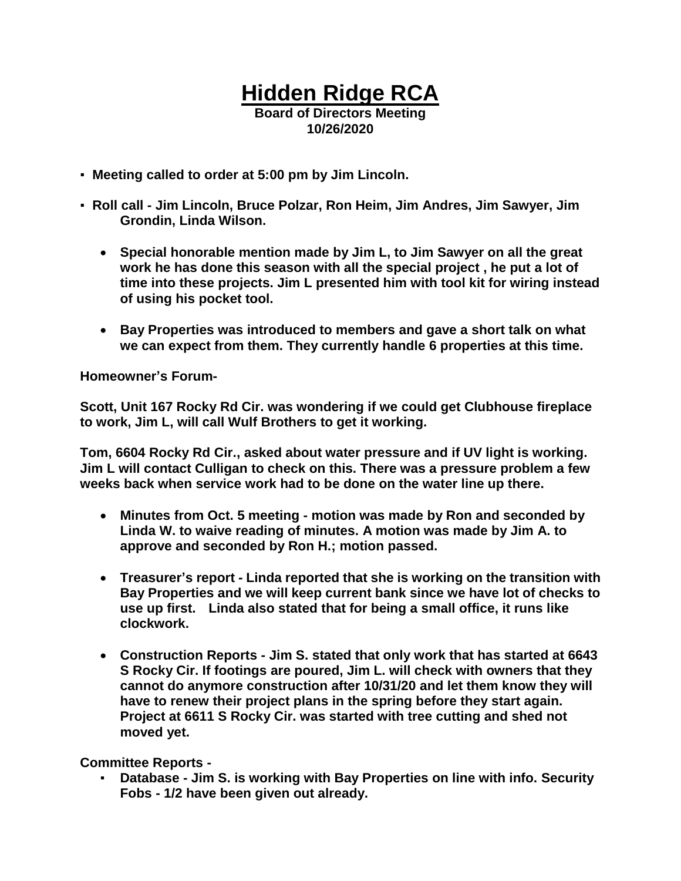## **Hidden Ridge RCA Board of Directors Meeting**

**10/26/2020**

- **Meeting called to order at 5:00 pm by Jim Lincoln.**
- **Roll call - Jim Lincoln, Bruce Polzar, Ron Heim, Jim Andres, Jim Sawyer, Jim Grondin, Linda Wilson.**
	- **Special honorable mention made by Jim L, to Jim Sawyer on all the great work he has done this season with all the special project , he put a lot of time into these projects. Jim L presented him with tool kit for wiring instead of using his pocket tool.**
	- **Bay Properties was introduced to members and gave a short talk on what we can expect from them. They currently handle 6 properties at this time.**

**Homeowner's Forum-**

**Scott, Unit 167 Rocky Rd Cir. was wondering if we could get Clubhouse fireplace to work, Jim L, will call Wulf Brothers to get it working.**

**Tom, 6604 Rocky Rd Cir., asked about water pressure and if UV light is working. Jim L will contact Culligan to check on this. There was a pressure problem a few weeks back when service work had to be done on the water line up there.**

- **Minutes from Oct. 5 meeting - motion was made by Ron and seconded by Linda W. to waive reading of minutes. A motion was made by Jim A. to approve and seconded by Ron H.; motion passed.**
- **Treasurer's report - Linda reported that she is working on the transition with Bay Properties and we will keep current bank since we have lot of checks to use up first. Linda also stated that for being a small office, it runs like clockwork.**
- **Construction Reports - Jim S. stated that only work that has started at 6643 S Rocky Cir. If footings are poured, Jim L. will check with owners that they cannot do anymore construction after 10/31/20 and let them know they will have to renew their project plans in the spring before they start again. Project at 6611 S Rocky Cir. was started with tree cutting and shed not moved yet.**

**Committee Reports -**

▪ **Database - Jim S. is working with Bay Properties on line with info. Security Fobs - 1/2 have been given out already.**